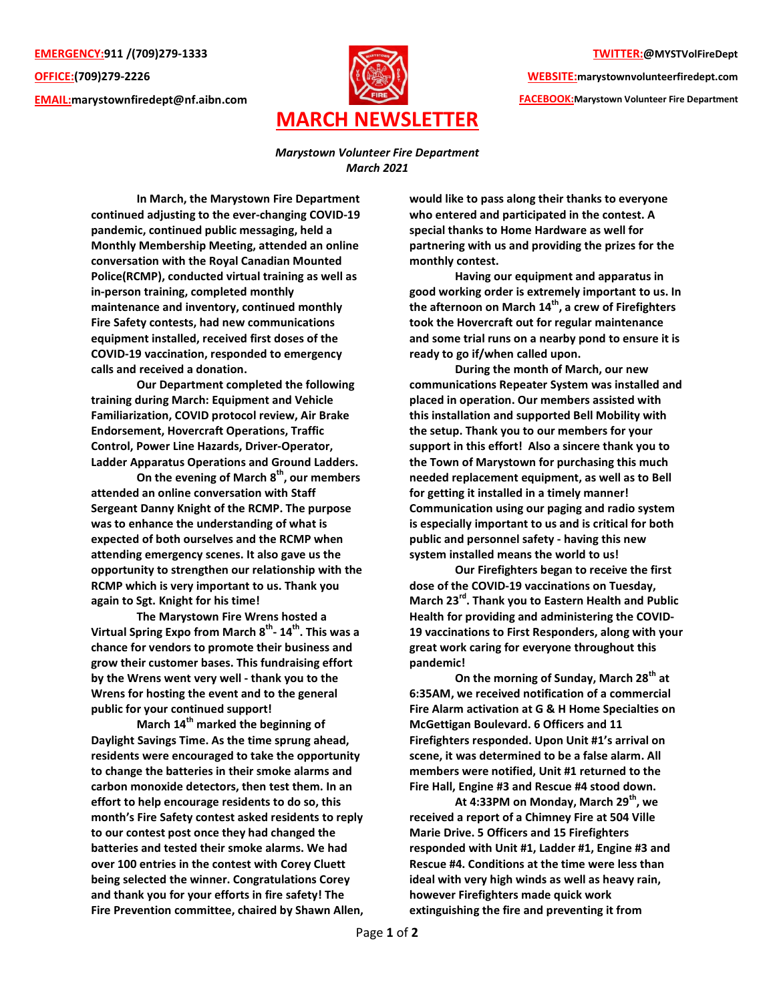EMERGENCY:911 /(709)279-1333 OFFICE:(709)279-2226 EMAIL:marystownfiredept@nf.aibn.com



## TWITTER:@MYSTVolFireDept

WEBSITE:marystownvolunteerfiredept.com FACEBOOK:Marystown Volunteer Fire Department

Marystown Volunteer Fire Department March 2021

In March, the Marystown Fire Department continued adjusting to the ever-changing COVID-19 pandemic, continued public messaging, held a Monthly Membership Meeting, attended an online conversation with the Royal Canadian Mounted Police(RCMP), conducted virtual training as well as in-person training, completed monthly maintenance and inventory, continued monthly Fire Safety contests, had new communications equipment installed, received first doses of the COVID-19 vaccination, responded to emergency calls and received a donation.

 Our Department completed the following training during March: Equipment and Vehicle Familiarization, COVID protocol review, Air Brake Endorsement, Hovercraft Operations, Traffic Control, Power Line Hazards, Driver-Operator, Ladder Apparatus Operations and Ground Ladders.

On the evening of March  $8<sup>th</sup>$ , our members attended an online conversation with Staff Sergeant Danny Knight of the RCMP. The purpose was to enhance the understanding of what is expected of both ourselves and the RCMP when attending emergency scenes. It also gave us the opportunity to strengthen our relationship with the RCMP which is very important to us. Thank you again to Sgt. Knight for his time!

 The Marystown Fire Wrens hosted a Virtual Spring Expo from March 8<sup>th</sup>- 14<sup>th</sup>. This was a chance for vendors to promote their business and grow their customer bases. This fundraising effort by the Wrens went very well - thank you to the Wrens for hosting the event and to the general public for your continued support!

March  $14<sup>th</sup>$  marked the beginning of Daylight Savings Time. As the time sprung ahead, residents were encouraged to take the opportunity to change the batteries in their smoke alarms and carbon monoxide detectors, then test them. In an effort to help encourage residents to do so, this month's Fire Safety contest asked residents to reply to our contest post once they had changed the batteries and tested their smoke alarms. We had over 100 entries in the contest with Corey Cluett being selected the winner. Congratulations Corey and thank you for your efforts in fire safety! The Fire Prevention committee, chaired by Shawn Allen,

would like to pass along their thanks to everyone who entered and participated in the contest. A special thanks to Home Hardware as well for partnering with us and providing the prizes for the monthly contest.

 Having our equipment and apparatus in good working order is extremely important to us. In the afternoon on March  $14^{th}$ , a crew of Firefighters took the Hovercraft out for regular maintenance and some trial runs on a nearby pond to ensure it is ready to go if/when called upon.

 During the month of March, our new communications Repeater System was installed and placed in operation. Our members assisted with this installation and supported Bell Mobility with the setup. Thank you to our members for your support in this effort! Also a sincere thank you to the Town of Marystown for purchasing this much needed replacement equipment, as well as to Bell for getting it installed in a timely manner! Communication using our paging and radio system is especially important to us and is critical for both public and personnel safety - having this new system installed means the world to us!

 Our Firefighters began to receive the first dose of the COVID-19 vaccinations on Tuesday, March 23<sup>rd</sup>. Thank you to Eastern Health and Public Health for providing and administering the COVID-19 vaccinations to First Responders, along with your great work caring for everyone throughout this pandemic!

On the morning of Sunday, March 28<sup>th</sup> at 6:35AM, we received notification of a commercial Fire Alarm activation at G & H Home Specialties on McGettigan Boulevard. 6 Officers and 11 Firefighters responded. Upon Unit #1's arrival on scene, it was determined to be a false alarm. All members were notified, Unit #1 returned to the Fire Hall, Engine #3 and Rescue #4 stood down.

At 4:33PM on Monday, March 29 $^{\sf th}$ , we received a report of a Chimney Fire at 504 Ville Marie Drive. 5 Officers and 15 Firefighters responded with Unit #1, Ladder #1, Engine #3 and Rescue #4. Conditions at the time were less than ideal with very high winds as well as heavy rain, however Firefighters made quick work extinguishing the fire and preventing it from